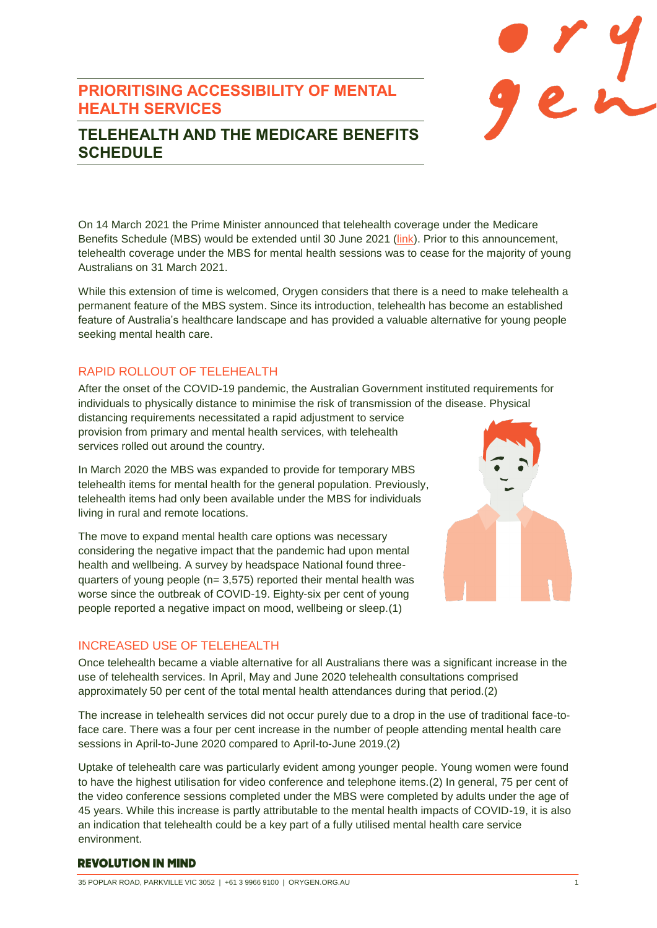# **PRIORITISING ACCESSIBILITY OF MENTAL HEALTH SERVICES**



# **TELEHEALTH AND THE MEDICARE BENEFITS SCHEDULE**

On 14 March 2021 the Prime Minister announced that telehealth coverage under the Medicare Benefits Schedule (MBS) would be extended until 30 June 2021 [\(link\)](https://www.pm.gov.au/media/over-11-billion-extend-australias-covid-19-health-response). Prior to this announcement, telehealth coverage under the MBS for mental health sessions was to cease for the majority of young Australians on 31 March 2021.

While this extension of time is welcomed, Orygen considers that there is a need to make telehealth a permanent feature of the MBS system. Since its introduction, telehealth has become an established feature of Australia's healthcare landscape and has provided a valuable alternative for young people seeking mental health care.

## RAPID ROLLOUT OF TELEHEALTH

After the onset of the COVID-19 pandemic, the Australian Government instituted requirements for individuals to physically distance to minimise the risk of transmission of the disease. Physical

distancing requirements necessitated a rapid adjustment to service provision from primary and mental health services, with telehealth services rolled out around the country.

In March 2020 the MBS was expanded to provide for temporary MBS telehealth items for mental health for the general population. Previously, telehealth items had only been available under the MBS for individuals living in rural and remote locations.

The move to expand mental health care options was necessary considering the negative impact that the pandemic had upon mental health and wellbeing. A survey by headspace National found threequarters of young people (n= 3,575) reported their mental health was worse since the outbreak of COVID-19. Eighty-six per cent of young people reported a negative impact on mood, wellbeing or sleep.(1)



## INCREASED USE OF TELEHEALTH

Once telehealth became a viable alternative for all Australians there was a significant increase in the use of telehealth services. In April, May and June 2020 telehealth consultations comprised approximately 50 per cent of the total mental health attendances during that period.(2)

The increase in telehealth services did not occur purely due to a drop in the use of traditional face-toface care. There was a four per cent increase in the number of people attending mental health care sessions in April-to-June 2020 compared to April-to-June 2019.(2)

Uptake of telehealth care was particularly evident among younger people. Young women were found to have the highest utilisation for video conference and telephone items.(2) In general, 75 per cent of the video conference sessions completed under the MBS were completed by adults under the age of 45 years. While this increase is partly attributable to the mental health impacts of COVID-19, it is also an indication that telehealth could be a key part of a fully utilised mental health care service environment.

## **REVOLUTION IN MIND**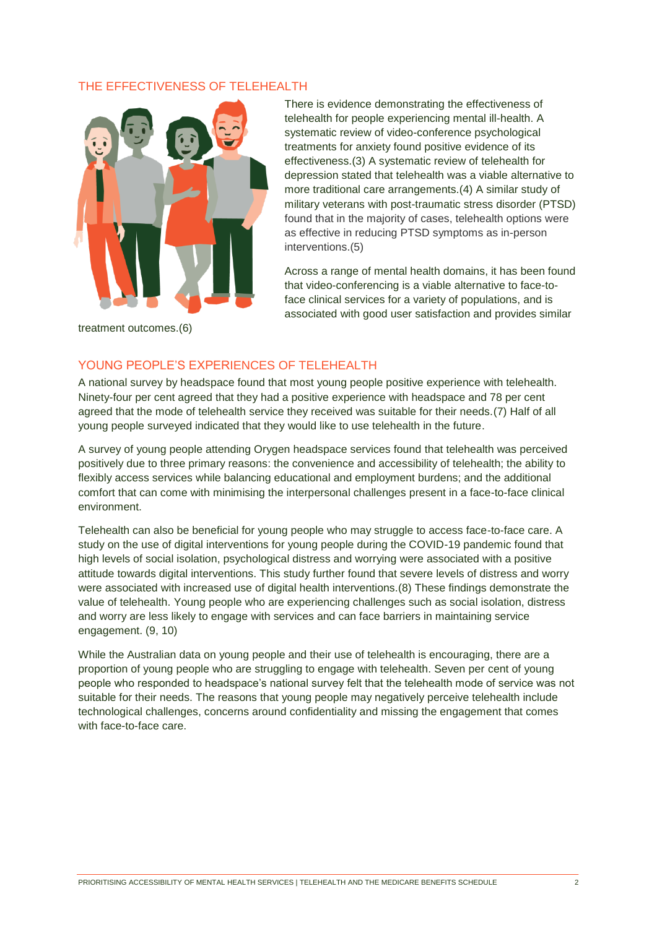### THE EFFECTIVENESS OF TELEHEALTH



There is evidence demonstrating the effectiveness of telehealth for people experiencing mental ill-health. A systematic review of video-conference psychological treatments for anxiety found positive evidence of its effectiveness.(3) A systematic review of telehealth for depression stated that telehealth was a viable alternative to more traditional care arrangements.(4) A similar study of military veterans with post-traumatic stress disorder (PTSD) found that in the majority of cases, telehealth options were as effective in reducing PTSD symptoms as in-person interventions.(5)

Across a range of mental health domains, it has been found that video-conferencing is a viable alternative to face-toface clinical services for a variety of populations, and is associated with good user satisfaction and provides similar

treatment outcomes.(6)

#### YOUNG PEOPLE'S EXPERIENCES OF TELEHEALTH

A national survey by headspace found that most young people positive experience with telehealth. Ninety-four per cent agreed that they had a positive experience with headspace and 78 per cent agreed that the mode of telehealth service they received was suitable for their needs.(7) Half of all young people surveyed indicated that they would like to use telehealth in the future.

A survey of young people attending Orygen headspace services found that telehealth was perceived positively due to three primary reasons: the convenience and accessibility of telehealth; the ability to flexibly access services while balancing educational and employment burdens; and the additional comfort that can come with minimising the interpersonal challenges present in a face-to-face clinical environment.

Telehealth can also be beneficial for young people who may struggle to access face-to-face care. A study on the use of digital interventions for young people during the COVID-19 pandemic found that high levels of social isolation, psychological distress and worrying were associated with a positive attitude towards digital interventions. This study further found that severe levels of distress and worry were associated with increased use of digital health interventions.(8) These findings demonstrate the value of telehealth. Young people who are experiencing challenges such as social isolation, distress and worry are less likely to engage with services and can face barriers in maintaining service engagement. (9, 10)

While the Australian data on young people and their use of telehealth is encouraging, there are a proportion of young people who are struggling to engage with telehealth. Seven per cent of young people who responded to headspace's national survey felt that the telehealth mode of service was not suitable for their needs. The reasons that young people may negatively perceive telehealth include technological challenges, concerns around confidentiality and missing the engagement that comes with face-to-face care.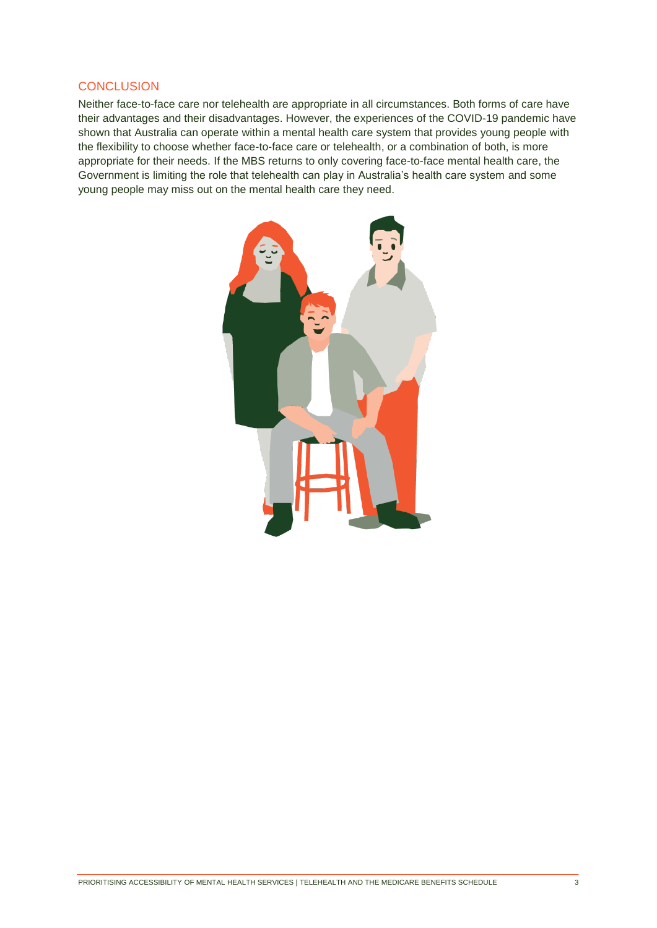#### **CONCLUSION**

Neither face-to-face care nor telehealth are appropriate in all circumstances. Both forms of care have their advantages and their disadvantages. However, the experiences of the COVID-19 pandemic have shown that Australia can operate within a mental health care system that provides young people with the flexibility to choose whether face-to-face care or telehealth, or a combination of both, is more appropriate for their needs. If the MBS returns to only covering face-to-face mental health care, the Government is limiting the role that telehealth can play in Australia's health care system and some young people may miss out on the mental health care they need.